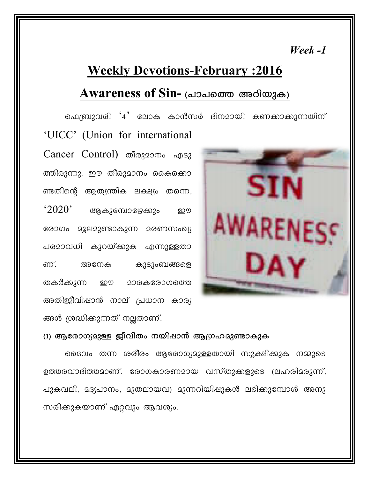### $\textit{Weak}$ -1

# **Weekly Devotions-February : 2016**

## Awareness of Sin- (പാപത്തെ അറിയുക)

ഫെബ്രുവരി '4' ലോക കാൻസർ ദിനമായി കണക്കാക്കുന്നതിന് 'UICC' (Union for international Cancer Control) തീരുമാനം എടു ത്തിരുന്നു. ഈ തീരുമാനം കൈക്കൊ ണ്ടതിന്റെ ആത്യന്തിക ലക്ഷ്യം തന്നെ,  $^{\circ}2020$ ' ആകുമ്പോഴേക്കും றூ AWAREN രോഗം മൂലമുണ്ടാകുന്ന മരണസംഖ്യ പരമാവധി കുറയ്ക്കുക എന്നുള്ളതാ ണ്. അനേക കുടുംബങ്ങളെ തകർക്കുന്ന றூ **200കരോഗത്തെ** അതിജീവിഷാൻ നാല് പ്രധാന കാര്യ

#### (1) ആരോഗ്യമുള്ള ജീവിതം നയിഷാൻ ആഗ്രഹമുണ്ടാകുക

ങ്ങൾ ശ്രദ്ധികുന്നത് നല്ലതാണ്.

ദൈവം തന്ന ശരീരം ആരോഗ്യമുള്ളതായി സൂക്ഷിക്കുക നമ്മുടെ ഉത്തരവാദിത്തമാണ്. രോഗകാരണമായ വസ്തുക്കളുടെ (ലഹരിമരുന്ന്, പുകവലി, മദ്യപാനം, മുതലായവ) മുന്നറിയിഷുകൾ ലഭിക്കുമ്പോൾ അനു സരിക്കുകയാണ് ഏറ്റവും ആവശ്യം.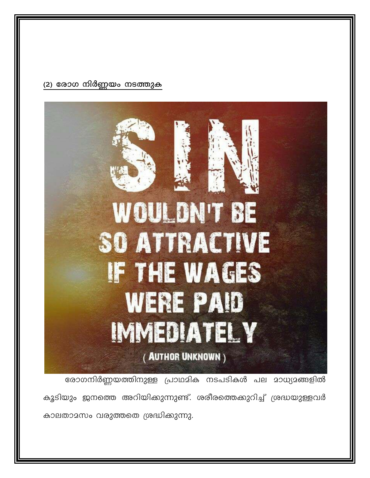#### (2) രോഗ നിർണ്ണയം നടത്തുക



കുടിയും ജനത്തെ അറിയിക്കുന്നുണ്ട്. ശരീരത്തെക്കുറിച്ച് ശ്രദ്ധയുള്ളവർ കാലതാമസം വരുത്തതെ ശ്രദ്ധിക്കുന്നു.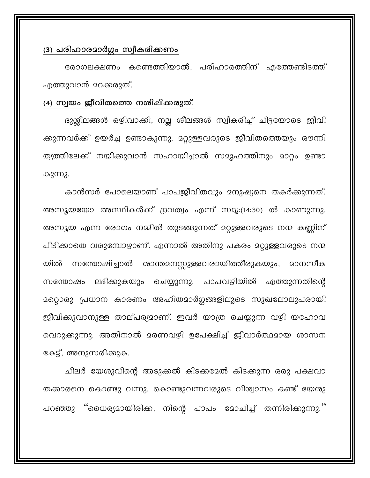#### (3) പരിഹാരമാർഗ്ഗം സ്വീകരിക്കണം

രോഗലക്ഷണം കണ്ടെത്തിയാൽ, പരിഹാരത്തിന് എത്തേണ്ടിടത്ത് എത്തുവാൻ മറക്കരുത്.

#### (4) സ്വയം ജീവിതത്തെ നശിഷിക്കരുത്.

ദുശ്ശീലങ്ങൾ ഒഴിവാകി, നല്ല ശീലങ്ങൾ സ്വീകരിച്ച് ചിട്ടയോടെ ജീവി ക്കുന്നവർക്ക് ഉയർച്ച ഉണ്ടാകുന്നു. മറ്റുള്ളവരുടെ ജീവിതത്തെയും ഔന്നി ത്യത്തിലേക്ക് നയിക്കുവാൻ സഹായിച്ചാൽ സമൂഹത്തിനും മാറ്റം ഉണ്ടാ കുന്നു.

കാൻസർ പോലെയാണ് പാപജീവിതവും മനുഷ്യനെ തകർക്കുന്നത്. അസൂയയോ അസ്ഥികൾക്ക് ദ്രവത്വം എന്ന് സദൃ:(14:30) ൽ കാണുന്നു. അസൂയ എന്ന രോഗം നമ്മിൽ തുടങ്ങുന്നത് മറ്റുള്ളവരുടെ നന്മ കണ്ണിന് പിടിക്കാതെ വരുമ്പോഴാണ്. എന്നാൽ അതിനു പകരം മറ്റുള്ളവരുടെ നന്മ യിൽ സന്തോഷിച്ചാൽ ശാന്തമനസ്സുള്ളവരായിത്തീരുകയും, മാനസീക ലഭിക്കുകയും ചെയ്യുന്നു. പാപവഴിയിൽ സന്തോഷം എത്തുന്നതിന്റെ മറ്റൊരു പ്രധാന കാരണം അഹിതമാർഗ്ഗങ്ങളിലൂടെ സുഖലോലുപരായി ജീവിക്കുവാനുള്ള താല്പര്യമാണ്. ഇവർ യാത്ര ചെയ്യുന്ന വഴി യഹോവ വെറുക്കുന്നു. അതിനാൽ മരണവഴി ഉപേക്ഷിച്ച് ജീവാർത്ഥമായ ശാസന കേട്ട്, അനുസരിക്കുക.

ചിലർ യേശുവിന്റെ അടുക്കൽ കിടക്കദേൽ കിടക്കുന്ന ഒരു പക്ഷവാ തക്കാരനെ കൊണ്ടു വന്നു. കൊണ്ടുവന്നവരുടെ വിശ്വാസം കണ്ട് യേശു പറഞ്ഞു ''ധൈര്യമായിരിക്ക, നിന്റെ പാപം മോചിച്ച് തന്നിരിക്കുന്നു.''